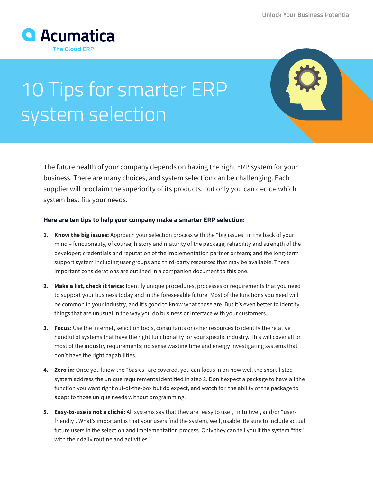

## 10 Tips for smarter ERP system selection

The future health of your company depends on having the right ERP system for your business. There are many choices, and system selection can be challenging. Each supplier will proclaim the superiority of its products, but only you can decide which system best fits your needs.

## **Here are ten tips to help your company make a smarter ERP selection:**

- **1. Know the big issues:** Approach your selection process with the "big issues" in the back of your mind – functionality, of course; history and maturity of the package; reliability and strength of the developer; credentials and reputation of the implementation partner or team; and the long-term support system including user groups and third-party resources that may be available. These important considerations are outlined in a companion document to this one.
- **2. Make a list, check it twice:** Identify unique procedures, processes or requirements that you need to support your business today and in the foreseeable future. Most of the functions you need will be common in your industry, and it's good to know what those are. But it's even better to identify things that are unusual in the way you do business or interface with your customers.
- **3. Focus:** Use the Internet, selection tools, consultants or other resources to identify the relative handful of systems that have the right functionality for your specific industry. This will cover all or most of the industry requirements; no sense wasting time and energy investigating systems that don't have the right capabilities.
- **4. Zero in:** Once you know the "basics" are covered, you can focus in on how well the short-listed system address the unique requirements identified in step 2. Don't expect a package to have all the function you want right out-of-the-box but do expect, and watch for, the ability of the package to adapt to those unique needs without programming.
- **5. Easy-to-use is not a cliché:** All systems say that they are "easy to use", "intuitive", and/or "userfriendly". What's important is that your users find the system, well, usable. Be sure to include actual future users in the selection and implementation process. Only they can tell you if the system "fits" with their daily routine and activities.